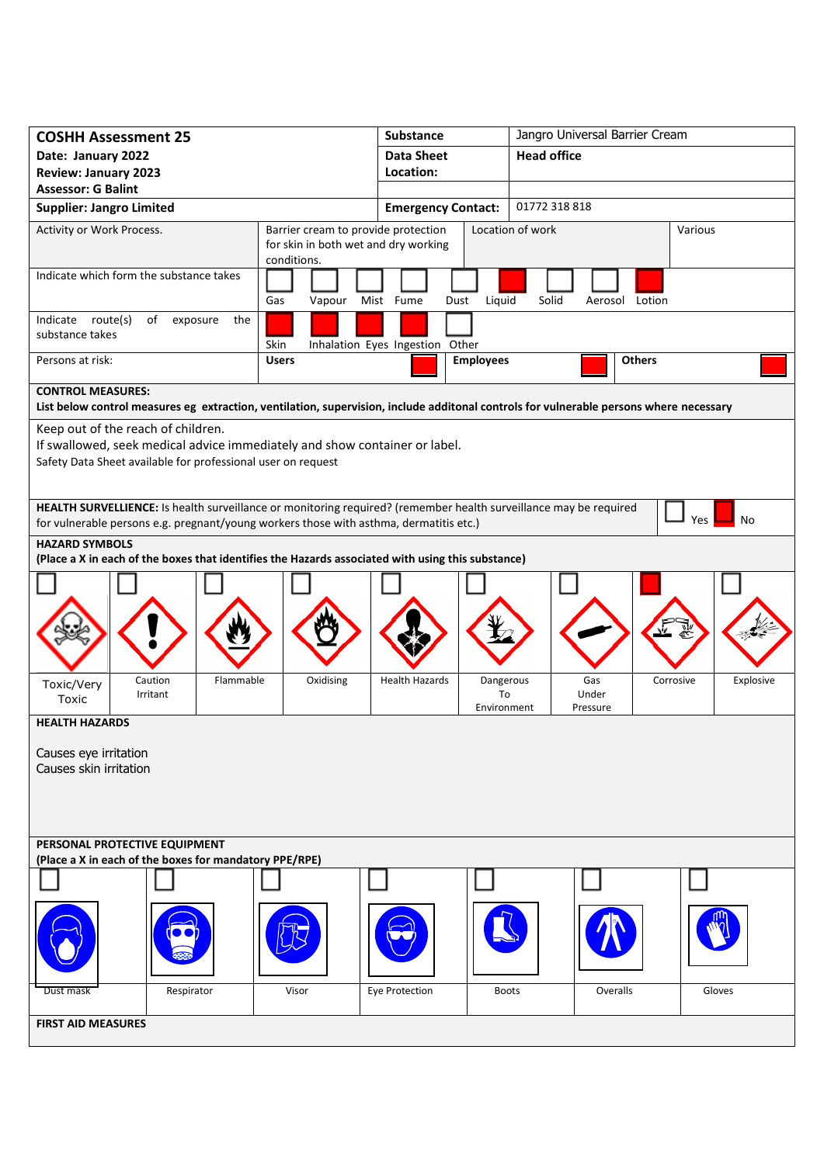